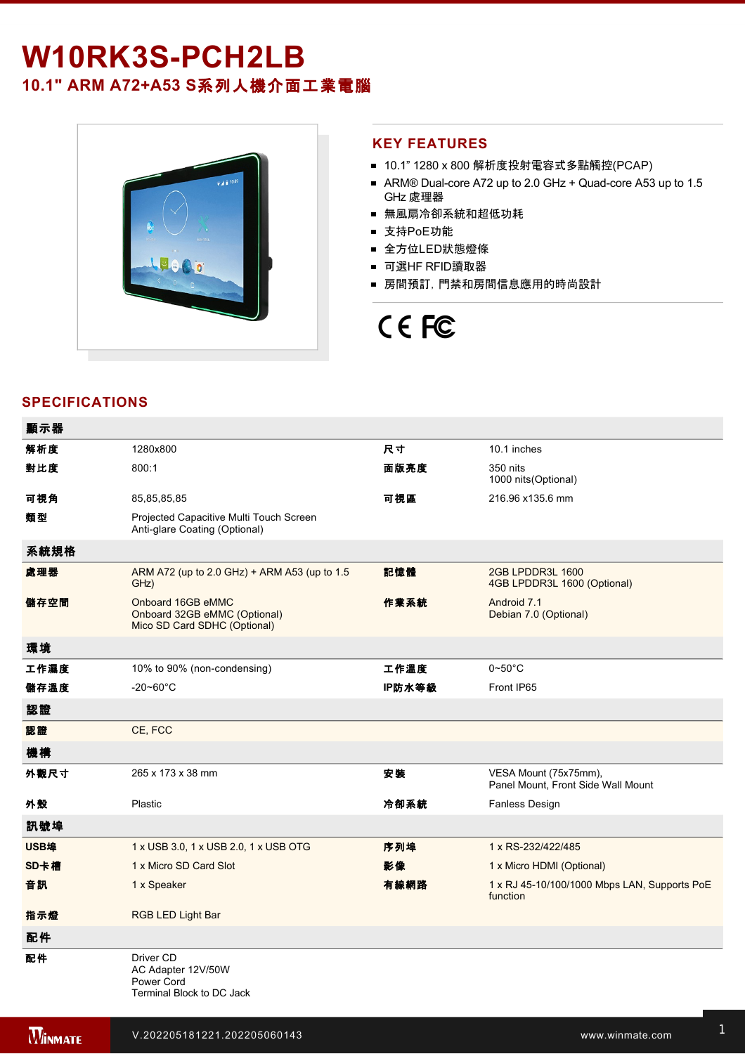## W10RK3S-PCH2LB

### **10.1" ARM A72+A53 S**系列人機介面工業電腦



#### **KEY FEATURES**

- 10.1" 1280 x 800 解析度投射電容式多點觸控(PCAP)
- ARM® Dual-core A72 up to 2.0 GHz + Quad-core A53 up to 1.5 GHz 處理器
- 無風扇冷卻系統和超低功耗
- 支持PoE功能
- 全方位LED狀態燈條
- 可選HF RFID讀取器
- 房間預訂, 門禁和房間信息應用的時尚設計

# CE FC

### **SPECIFICATIONS**

| 顯示器  |                                                                                   |        |                                                             |
|------|-----------------------------------------------------------------------------------|--------|-------------------------------------------------------------|
| 解析度  | 1280x800                                                                          | 尺寸     | 10.1 inches                                                 |
| 對比度  | 800:1                                                                             | 面版亮度   | 350 nits<br>1000 nits(Optional)                             |
| 可視角  | 85,85,85,85                                                                       | 可視區    | 216.96 x135.6 mm                                            |
| 類型   | Projected Capacitive Multi Touch Screen<br>Anti-glare Coating (Optional)          |        |                                                             |
| 系統規格 |                                                                                   |        |                                                             |
| 處理器  | ARM A72 (up to 2.0 GHz) + ARM A53 (up to 1.5<br>GHz)                              | 記憶體    | 2GB LPDDR3L 1600<br>4GB LPDDR3L 1600 (Optional)             |
| 儲存空間 | Onboard 16GB eMMC<br>Onboard 32GB eMMC (Optional)<br>Mico SD Card SDHC (Optional) | 作業系統   | Android 7.1<br>Debian 7.0 (Optional)                        |
| 環境   |                                                                                   |        |                                                             |
| 工作濕度 | 10% to 90% (non-condensing)                                                       | 工作溫度   | $0\negthinspace$ -50 $^{\circ}$ C                           |
| 儲存溫度 | $-20 - 60^{\circ}$ C                                                              | IP防水等級 | Front IP65                                                  |
| 認證   |                                                                                   |        |                                                             |
| 認證   | CE, FCC                                                                           |        |                                                             |
| 機構   |                                                                                   |        |                                                             |
| 外觀尺寸 | 265 x 173 x 38 mm                                                                 | 安裝     | VESA Mount (75x75mm),<br>Panel Mount, Front Side Wall Mount |
| 外殼   | Plastic                                                                           | 冷卻系統   | Fanless Design                                              |
| 訊號埠  |                                                                                   |        |                                                             |
| USB埠 | 1 x USB 3.0, 1 x USB 2.0, 1 x USB OTG                                             | 序列埠    | 1 x RS-232/422/485                                          |
| SD卡槽 | 1 x Micro SD Card Slot                                                            | 影像     | 1 x Micro HDMI (Optional)                                   |
| 音訊   | 1 x Speaker                                                                       | 有線網路   | 1 x RJ 45-10/100/1000 Mbps LAN, Supports PoE<br>function    |
| 指示燈  | <b>RGB LED Light Bar</b>                                                          |        |                                                             |
| 配件   |                                                                                   |        |                                                             |
| 配件   | Driver CD<br>AC Adapter 12V/50W<br>Power Cord<br>Terminal Block to DC Jack        |        |                                                             |